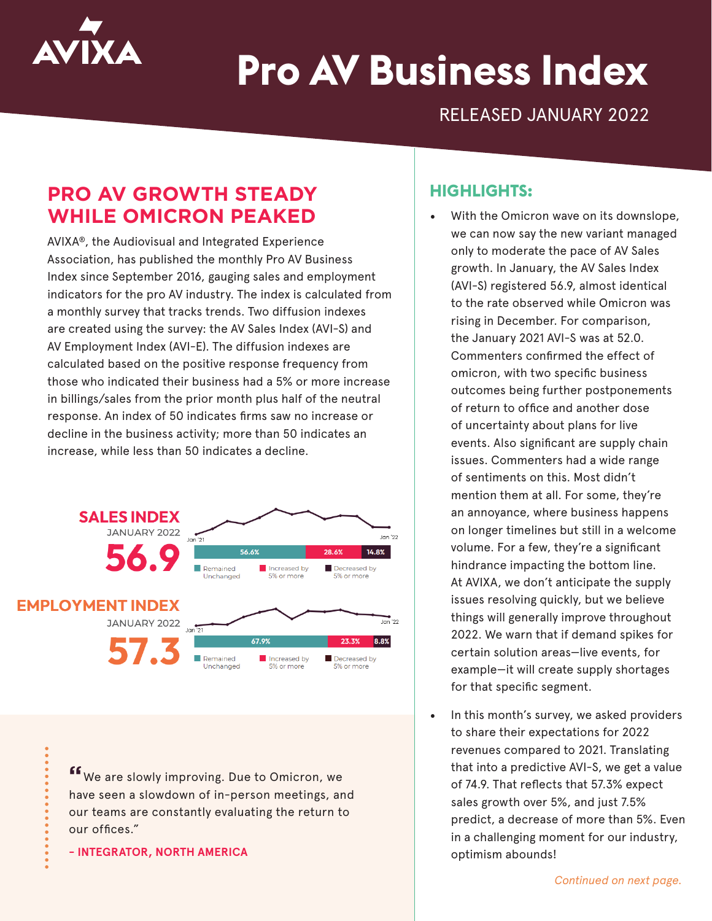

# **Pro AV Business Index**

RELEASED JANUARY 2022

## **PRO AV GROWTH STEADY WHILE OMICRON PEAKED**

AVIXA®, the Audiovisual and Integrated Experience Association, has published the monthly Pro AV Business Index since September 2016, gauging sales and employment indicators for the pro AV industry. The index is calculated from a monthly survey that tracks trends. Two diffusion indexes are created using the survey: the AV Sales Index (AVI-S) and AV Employment Index (AVI-E). The diffusion indexes are calculated based on the positive response frequency from those who indicated their business had a 5% or more increase in billings/sales from the prior month plus half of the neutral response. An index of 50 indicates firms saw no increase or decline in the business activity; more than 50 indicates an increase, while less than 50 indicates a decline.



**"**We are slowly improving. Due to Omicron, we have seen a slowdown of in-person meetings, and our teams are constantly evaluating the return to our offices."

**- INTEGRATOR, NORTH AMERICA**

#### **HIGHLIGHTS:**

- With the Omicron wave on its downslope, we can now say the new variant managed only to moderate the pace of AV Sales growth. In January, the AV Sales Index (AVI-S) registered 56.9, almost identical to the rate observed while Omicron was rising in December. For comparison, the January 2021 AVI-S was at 52.0. Commenters confirmed the effect of omicron, with two specific business outcomes being further postponements of return to office and another dose of uncertainty about plans for live events. Also significant are supply chain issues. Commenters had a wide range of sentiments on this. Most didn't mention them at all. For some, they're an annoyance, where business happens on longer timelines but still in a welcome volume. For a few, they're a significant hindrance impacting the bottom line. At AVIXA, we don't anticipate the supply issues resolving quickly, but we believe things will generally improve throughout 2022. We warn that if demand spikes for certain solution areas—live events, for example—it will create supply shortages for that specific segment.
- In this month's survey, we asked providers to share their expectations for 2022 revenues compared to 2021. Translating that into a predictive AVI-S, we get a value of 74.9. That reflects that 57.3% expect sales growth over 5%, and just 7.5% predict, a decrease of more than 5%. Even in a challenging moment for our industry, optimism abounds!

*Continued on next page.*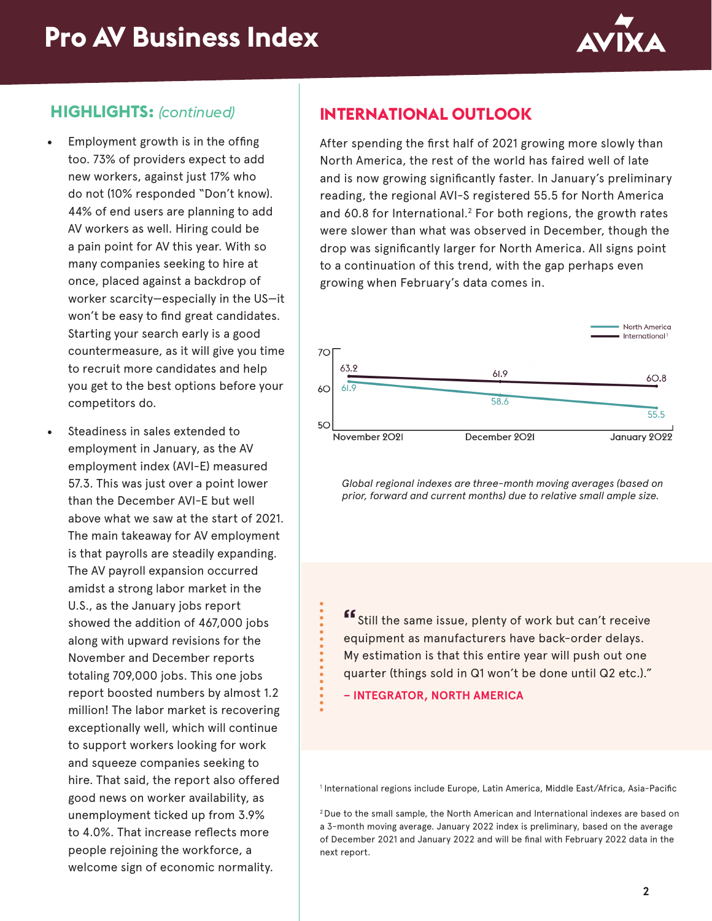

#### **HIGHLIGHTS:** *(continued)*

- Employment growth is in the offing too. 73% of providers expect to add new workers, against just 17% who do not (10% responded "Don't know). 44% of end users are planning to add AV workers as well. Hiring could be a pain point for AV this year. With so many companies seeking to hire at once, placed against a backdrop of worker scarcity—especially in the US—it won't be easy to find great candidates. Starting your search early is a good countermeasure, as it will give you time to recruit more candidates and help you get to the best options before your competitors do.
- Steadiness in sales extended to employment in January, as the AV employment index (AVI-E) measured 57.3. This was just over a point lower than the December AVI-E but well above what we saw at the start of 2021. The main takeaway for AV employment is that payrolls are steadily expanding. The AV payroll expansion occurred amidst a strong labor market in the U.S., as the January jobs report showed the addition of 467,000 jobs along with upward revisions for the November and December reports totaling 709,000 jobs. This one jobs report boosted numbers by almost 1.2 million! The labor market is recovering exceptionally well, which will continue to support workers looking for work and squeeze companies seeking to hire. That said, the report also offered good news on worker availability, as unemployment ticked up from 3.9% to 4.0%. That increase reflects more people rejoining the workforce, a welcome sign of economic normality.

### **INTERNATIONAL OUTLOOK**

After spending the first half of 2021 growing more slowly than North America, the rest of the world has faired well of late and is now growing significantly faster. In January's preliminary reading, the regional AVI-S registered 55.5 for North America and 60.8 for International.<sup>2</sup> For both regions, the growth rates were slower than what was observed in December, though the drop was significantly larger for North America. All signs point to a continuation of this trend, with the gap perhaps even growing when February's data comes in.



*Global regional indexes are three-month moving averages (based on prior, forward and current months) due to relative small ample size.*

**"**Still the same issue, plenty of work but can't receive equipment as manufacturers have back-order delays. My estimation is that this entire year will push out one quarter (things sold in Q1 won't be done until Q2 etc.)."

**– INTEGRATOR, NORTH AMERICA**

1 International regions include Europe, Latin America, Middle East/Africa, Asia-Pacific

2 Due to the small sample, the North American and International indexes are based on a 3-month moving average. January 2022 index is preliminary, based on the average of December 2021 and January 2022 and will be final with February 2022 data in the next report.